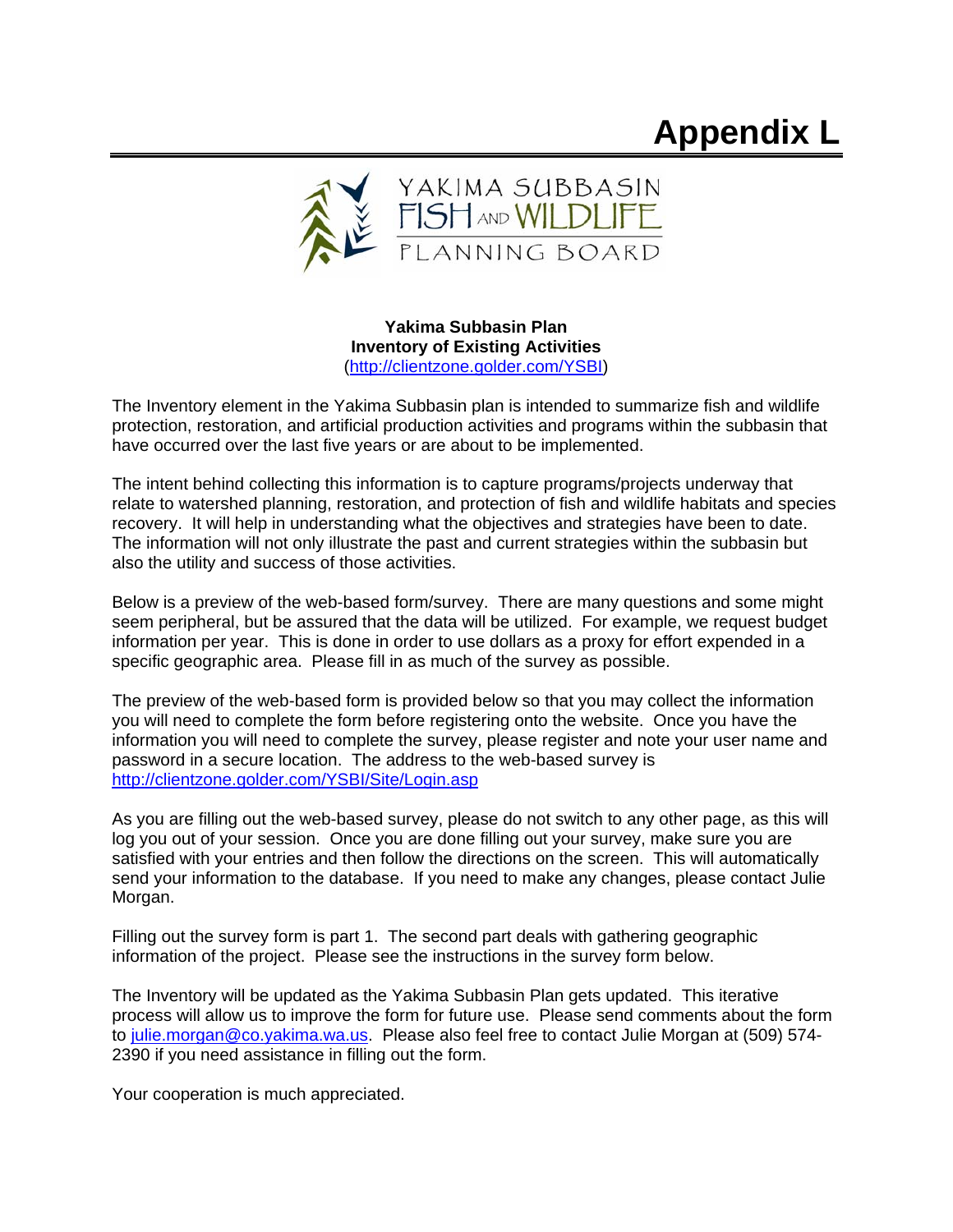# **Appendix L**



**Yakima Subbasin Plan Inventory of Existing Activities**  (http://clientzone.golder.com/YSBI)

The Inventory element in the Yakima Subbasin plan is intended to summarize fish and wildlife protection, restoration, and artificial production activities and programs within the subbasin that have occurred over the last five years or are about to be implemented.

The intent behind collecting this information is to capture programs/projects underway that relate to watershed planning, restoration, and protection of fish and wildlife habitats and species recovery. It will help in understanding what the objectives and strategies have been to date. The information will not only illustrate the past and current strategies within the subbasin but also the utility and success of those activities.

Below is a preview of the web-based form/survey. There are many questions and some might seem peripheral, but be assured that the data will be utilized. For example, we request budget information per year. This is done in order to use dollars as a proxy for effort expended in a specific geographic area. Please fill in as much of the survey as possible.

The preview of the web-based form is provided below so that you may collect the information you will need to complete the form before registering onto the website. Once you have the information you will need to complete the survey, please register and note your user name and password in a secure location. The address to the web-based survey is http://clientzone.golder.com/YSBI/Site/Login.asp

As you are filling out the web-based survey, please do not switch to any other page, as this will log you out of your session. Once you are done filling out your survey, make sure you are satisfied with your entries and then follow the directions on the screen. This will automatically send your information to the database. If you need to make any changes, please contact Julie Morgan.

Filling out the survey form is part 1. The second part deals with gathering geographic information of the project. Please see the instructions in the survey form below.

The Inventory will be updated as the Yakima Subbasin Plan gets updated. This iterative process will allow us to improve the form for future use. Please send comments about the form to julie.morgan@co.yakima.wa.us. Please also feel free to contact Julie Morgan at (509) 574- 2390 if you need assistance in filling out the form.

Your cooperation is much appreciated.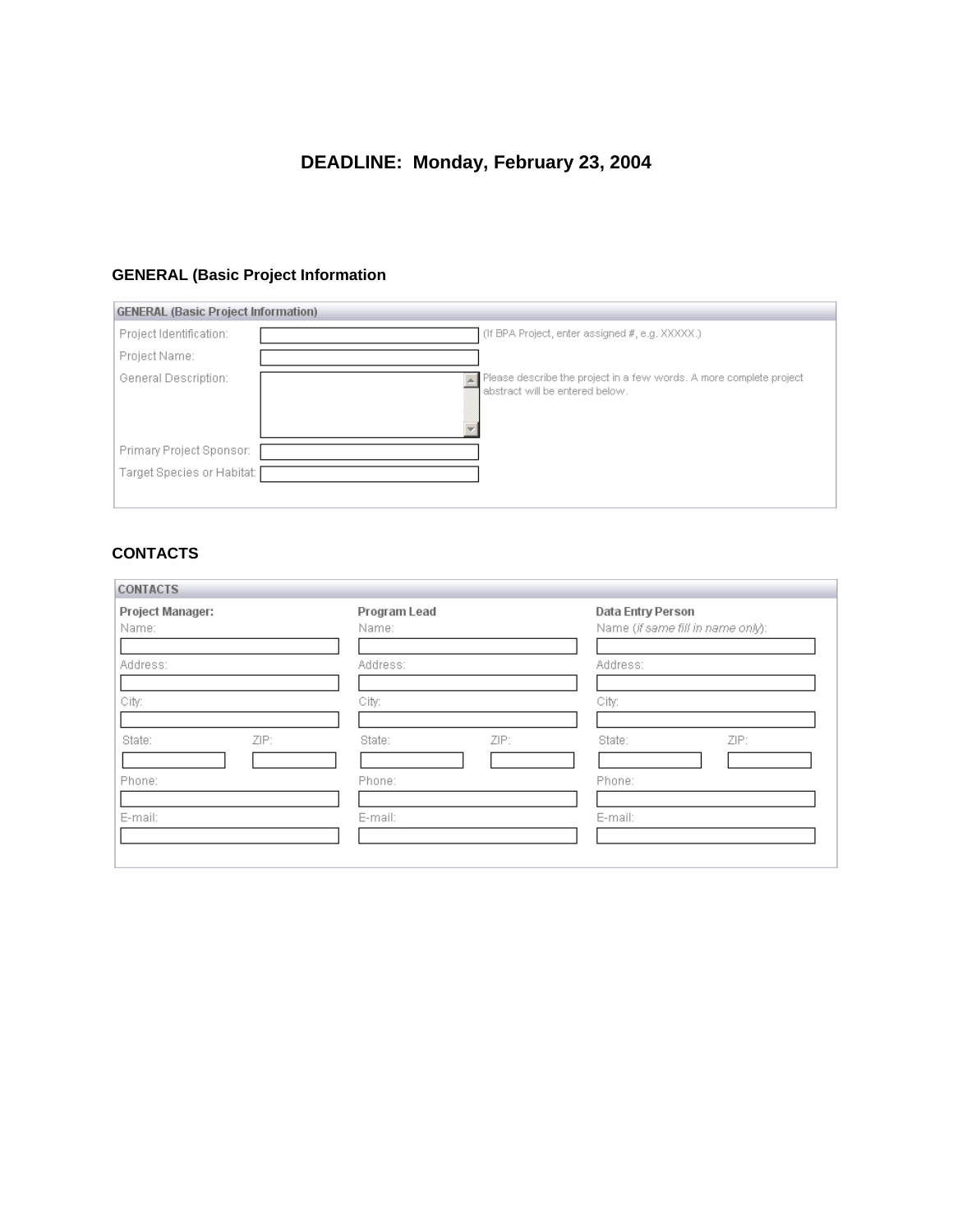# **DEADLINE: Monday, February 23, 2004**

## **GENERAL (Basic Project Information**

| <b>GENERAL (Basic Project Information)</b> |                                                                                                        |
|--------------------------------------------|--------------------------------------------------------------------------------------------------------|
| Project Identification:                    | (If BPA Project, enter assigned #, e.g. XXXXX.)                                                        |
| Project Name:                              |                                                                                                        |
| General Description:                       | Please describe the project in a few words. A more complete project<br>abstract will be entered below. |
| Primary Project Sponsor:                   |                                                                                                        |
| Target Species or Habitat:                 |                                                                                                        |
|                                            |                                                                                                        |

## **CONTACTS**

| <b>Project Manager:</b><br>Name: | Program Lead<br>Name: | Data Entry Person<br>Name (if same fill in name only): |  |
|----------------------------------|-----------------------|--------------------------------------------------------|--|
| Address:                         | Address:              | Address:                                               |  |
| City:                            | City:                 | City:                                                  |  |
| ZIP:<br>State:                   | ZIP:<br>State:        | ZIP:<br>State:                                         |  |
| Phone:                           | Phone:                | Phone:                                                 |  |
| E-mail:                          | E-mail:               | E-mail:                                                |  |

 $\overline{\phantom{0}}$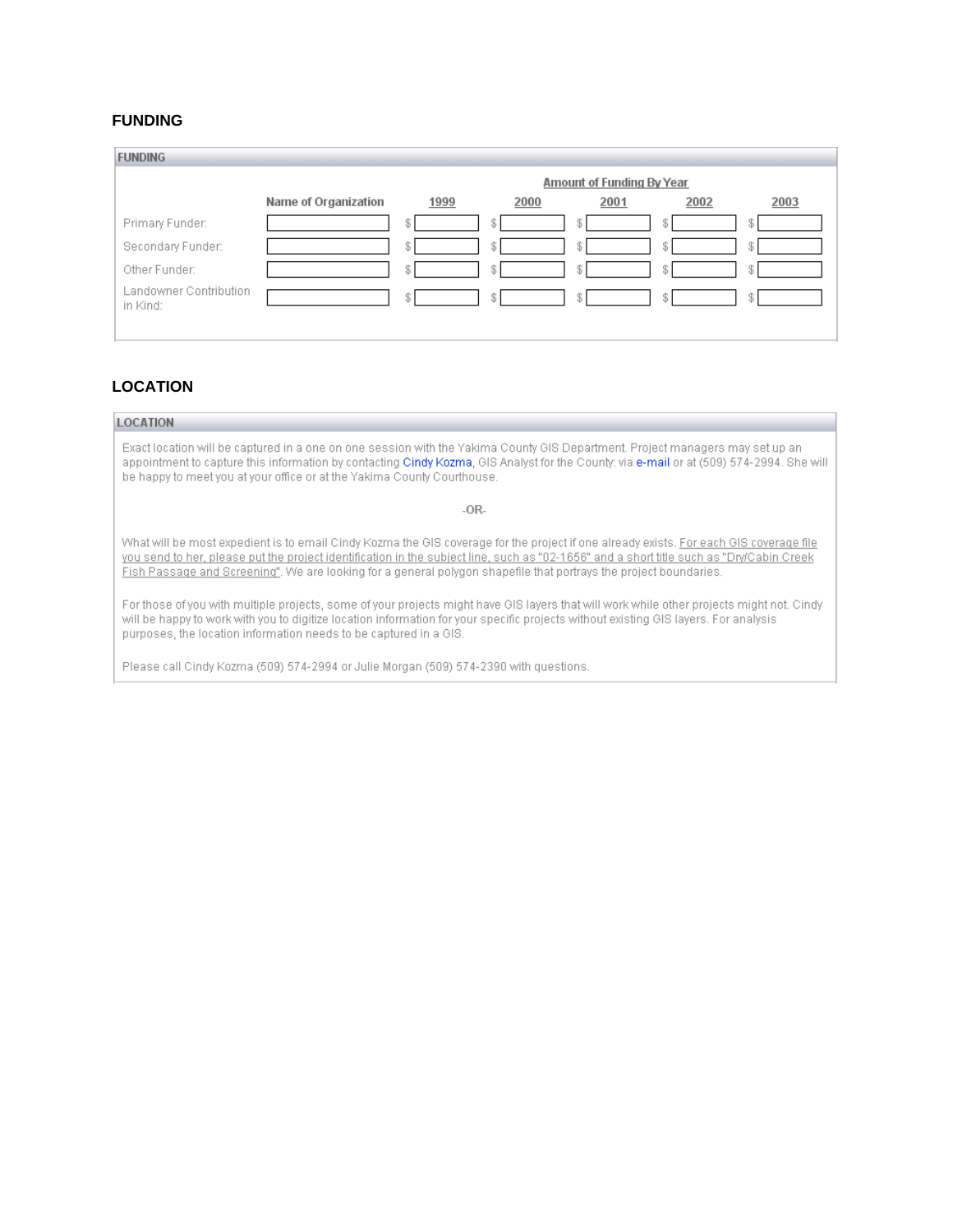### **FUNDING**

| <b>FUNDING</b>                     |                      |                           |      |      |      |      |
|------------------------------------|----------------------|---------------------------|------|------|------|------|
|                                    |                      | Amount of Funding By Year |      |      |      |      |
|                                    | Name of Organization | 1999                      | 2000 | 2001 | 2002 | 2003 |
| Primary Funder:                    |                      | \$                        | S.   |      |      | -35. |
| Secondary Funder:                  |                      | S                         | £    |      |      | Ж.   |
| Other Funder:                      |                      | \$                        | S.   |      |      | Ж.   |
| Landowner Contribution<br>in Kind: |                      | \$                        | S.   |      |      | £    |

## **LOCATION**

#### **LOCATION**

Exact location will be captured in a one on one session with the Yakima County GIS Department. Project managers may set up an appointment to capture this information by contacting Cindy Kozma, GIS Analyst for the County: via e-mail or at (509) 574-2994. She will be happy to meet you at your office or at the Yakima County Courthouse.

 $-OR-$ 

What will be most expedient is to email Cindy Kozma the GIS coverage for the project if one already exists. For each GIS coverage file you send to her, please put the project identification in the subject line, such as "02-1656" and a short title such as "Dry/Cabin Creek Fish Passage and Screening". We are looking for a general polygon shapefile that portrays the project boundaries.

For those of you with multiple projects, some of your projects might have GIS layers that will work while other projects might not. Cindy will be happy to work with you to digitize location information for your specific projects without existing GIS layers. For analysis purposes, the location information needs to be captured in a GIS.

Please call Cindy Kozma (509) 574-2994 or Julie Morgan (509) 574-2390 with questions.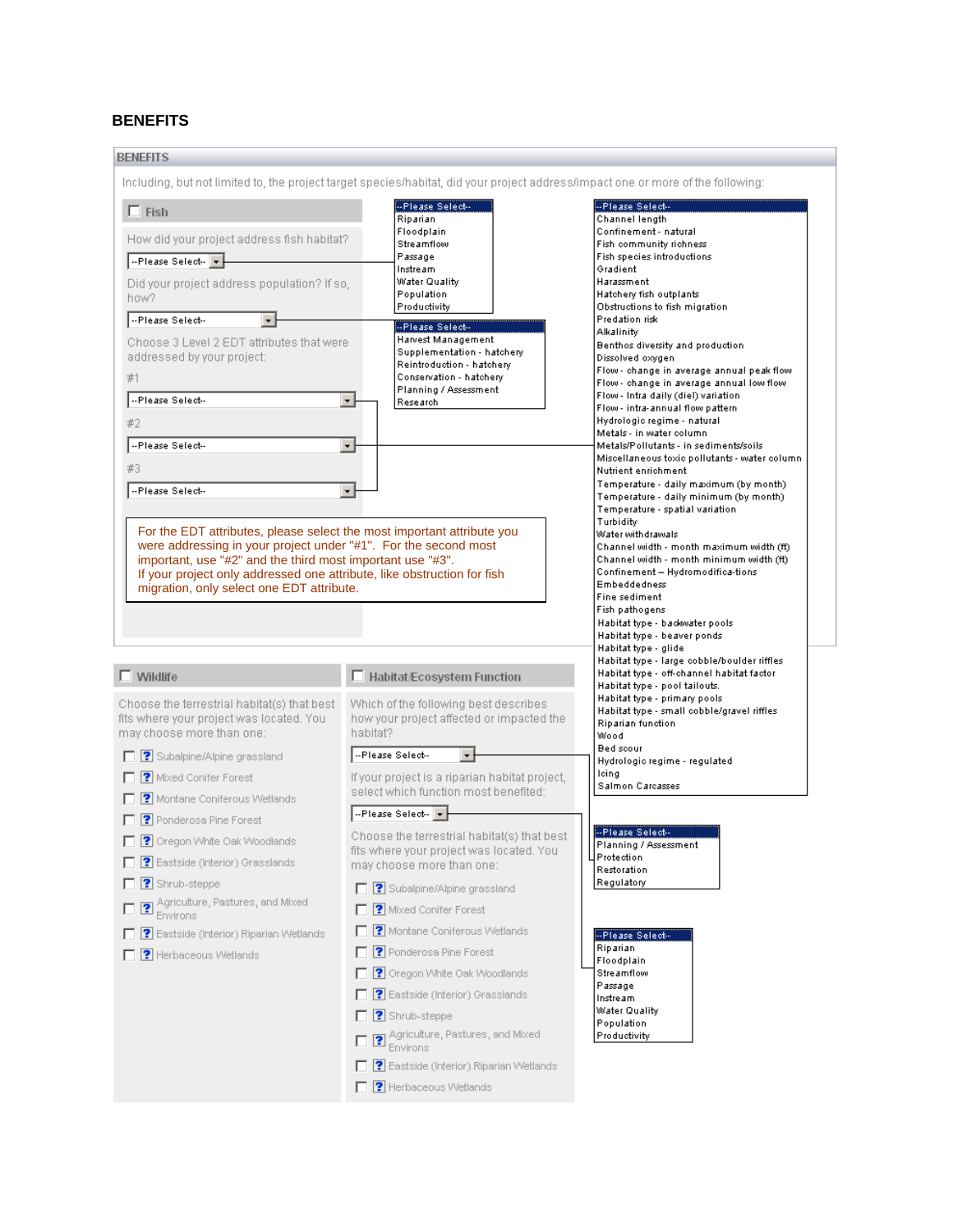## **BENEFITS**

| Including, but not limited to, the project target species/habitat, did your project address/impact one or more of the following:                                                                                                                                                                                                                                                                                                                                                                                                                                                                                                                                                                                                                 |                                                                                                                                                                                                                                                                                                                                                                                                                                                                                                                                                                                                      |
|--------------------------------------------------------------------------------------------------------------------------------------------------------------------------------------------------------------------------------------------------------------------------------------------------------------------------------------------------------------------------------------------------------------------------------------------------------------------------------------------------------------------------------------------------------------------------------------------------------------------------------------------------------------------------------------------------------------------------------------------------|------------------------------------------------------------------------------------------------------------------------------------------------------------------------------------------------------------------------------------------------------------------------------------------------------------------------------------------------------------------------------------------------------------------------------------------------------------------------------------------------------------------------------------------------------------------------------------------------------|
| -- Please Select-<br>Riparian<br>Floodplain<br>Streamflow<br>Passage<br>Instream<br>Water Quality<br>Population<br>Productivity<br>--Please Select--<br>Harvest Management<br>Supplementation - hatchery<br>Reintroduction - hatchery<br>Conservation - hatchery<br>Planning / Assessment<br>Research                                                                                                                                                                                                                                                                                                                                                                                                                                            | --Please Select--<br>Channel length<br>Confinement - natural<br>Fish community richness<br>Fish species introductions<br>Gradient<br>Harassment<br>Hatchery fish outplants<br>Obstructions to fish migration<br>Predation risk<br>Alkalinity<br>Benthos diversity and production.<br>Dissolved oxygen<br>Flow - change in average annual peak flow<br>Flow - change in average annual low flow<br>Flow - Intra daily (diel) variation<br>Flow - intra-annual flow pattern<br>Hydrologic regime - natural<br>Metals - in water column<br>Metals/Pollutants - in sediments/soils                       |
|                                                                                                                                                                                                                                                                                                                                                                                                                                                                                                                                                                                                                                                                                                                                                  | Miscellaneous toxic pollutants - water column<br>Nutrient enrichment<br>Temperature - daily maximum (by month).<br>Temperature - daily minimum (by month).<br>Temperature - spatial variation<br>Turbidity<br>Water withdrawals<br>Channel width - month maximum width (ft)<br>Channel width - month minimum width (ft)<br>Confinement - Hydromodifica-tions<br>Embeddedness<br>Fine sediment<br>Fish pathogens<br>Habitat type - backwater pools<br>Habitat type - beaver ponds<br>Habitat type - glide<br>Habitat type - large cobble/boulder riffles<br>Habitat type - off-channel habitat factor |
| Which of the following best describes<br>how your project affected or impacted the<br>habitat?<br>--Please Select--<br>$\overline{\phantom{a}}$<br>If your project is a riparian habitat project,<br>select which function most benefited:<br>--Please Select- v<br>Choose the terrestrial habitat(s) that best<br>fits where your project was located. You<br>may choose more than one:<br>Subalpine/Alpine grassland<br>Mixed Conifer Forest<br>г<br>□ ? Montane Coniferous Wetlands<br>Ponderosa Pine Forest<br><b>7</b> P Oregon White Oak Woodlands<br><b>?</b> Eastside (Interior) Grasslands<br>$\Box$ <b>?</b> Shrub-steppe<br><b>E P</b> Agriculture, Pastures, and Mixed<br>Environs<br><b>7</b> Eastside (Interior) Riparian Wetlands | Habitat type - pool tailouts.<br>Habitat type - primary pools<br>Habitat type - small cobble/gravel riffles<br>Riparian function<br>Wood<br>Bed scour<br>Hydrologic regime - regulated<br>leing<br>Salmon Carcasses<br>--Please Select--<br>Planning / Assessment<br>4 Protection<br>Restoration<br>Regulatory<br>--Please Select--<br>Riparian<br>Floodplain<br>Streamflow<br>Passage<br>Instream<br>Water Quality<br>Population<br>Productivity                                                                                                                                                    |
|                                                                                                                                                                                                                                                                                                                                                                                                                                                                                                                                                                                                                                                                                                                                                  | How did your project address fish habitat?<br>Did your project address population? If so,<br>Choose 3 Level 2 EDT attributes that were<br>$\mathbf{r}$<br>$\vert$<br>$\overline{\phantom{a}}$<br>For the EDT attributes, please select the most important attribute you<br>were addressing in your project under "#1". For the second most<br>important, use "#2" and the third most important use "#3".<br>If your project only addressed one attribute, like obstruction for fish<br>migration, only select one EDT attribute.<br>□ Habitat/Ecosystem Function<br><b>F P</b> Herbaceous Wetlands   |